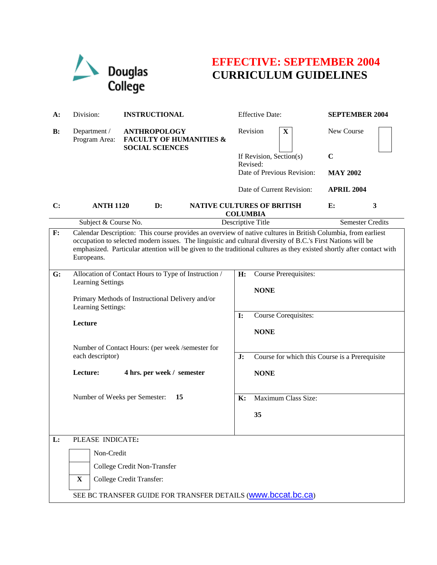

# **EFFECTIVE: SEPTEMBER 2004 CURRICULUM GUIDELINES**

| $A$ :                       | Division:                                                                                                                                                                                                                                                                                                                                                          | <b>INSTRUCTIONAL</b>                                                                | <b>Effective Date:</b>                               | <b>SEPTEMBER 2004</b>   |  |
|-----------------------------|--------------------------------------------------------------------------------------------------------------------------------------------------------------------------------------------------------------------------------------------------------------------------------------------------------------------------------------------------------------------|-------------------------------------------------------------------------------------|------------------------------------------------------|-------------------------|--|
| $\mathbf{B}$ :              | Department /<br>Program Area:                                                                                                                                                                                                                                                                                                                                      | <b>ANTHROPOLOGY</b><br><b>FACULTY OF HUMANITIES &amp;</b><br><b>SOCIAL SCIENCES</b> | Revision<br>$\mathbf X$                              | New Course              |  |
|                             |                                                                                                                                                                                                                                                                                                                                                                    |                                                                                     | If Revision, Section(s)                              | $\mathbf C$             |  |
|                             |                                                                                                                                                                                                                                                                                                                                                                    |                                                                                     | Revised:                                             |                         |  |
|                             |                                                                                                                                                                                                                                                                                                                                                                    |                                                                                     | Date of Previous Revision:                           | <b>MAY 2002</b>         |  |
|                             |                                                                                                                                                                                                                                                                                                                                                                    |                                                                                     | Date of Current Revision:                            | <b>APRIL 2004</b>       |  |
| C:                          | <b>ANTH 1120</b>                                                                                                                                                                                                                                                                                                                                                   | $\mathbf{D}$ :                                                                      | <b>NATIVE CULTURES OF BRITISH</b><br><b>COLUMBIA</b> | E:<br>3                 |  |
|                             | Subject & Course No.                                                                                                                                                                                                                                                                                                                                               |                                                                                     | Descriptive Title                                    | <b>Semester Credits</b> |  |
| F:                          | Calendar Description: This course provides an overview of native cultures in British Columbia, from earliest<br>occupation to selected modern issues. The linguistic and cultural diversity of B.C.'s First Nations will be<br>emphasized. Particular attention will be given to the traditional cultures as they existed shortly after contact with<br>Europeans. |                                                                                     |                                                      |                         |  |
| G:                          | Allocation of Contact Hours to Type of Instruction /<br><b>Learning Settings</b><br>Primary Methods of Instructional Delivery and/or<br>Learning Settings:                                                                                                                                                                                                         |                                                                                     | H:<br><b>Course Prerequisites:</b><br><b>NONE</b>    |                         |  |
|                             |                                                                                                                                                                                                                                                                                                                                                                    |                                                                                     |                                                      |                         |  |
|                             | Lecture                                                                                                                                                                                                                                                                                                                                                            |                                                                                     | Course Corequisites:<br>$\mathbf{I}$ :               |                         |  |
|                             |                                                                                                                                                                                                                                                                                                                                                                    |                                                                                     | <b>NONE</b>                                          |                         |  |
|                             | Number of Contact Hours: (per week /semester for<br>each descriptor)                                                                                                                                                                                                                                                                                               |                                                                                     |                                                      |                         |  |
|                             |                                                                                                                                                                                                                                                                                                                                                                    |                                                                                     | J:<br>Course for which this Course is a Prerequisite |                         |  |
|                             | Lecture:                                                                                                                                                                                                                                                                                                                                                           | 4 hrs. per week / semester                                                          | <b>NONE</b>                                          |                         |  |
|                             | Number of Weeks per Semester:<br>15                                                                                                                                                                                                                                                                                                                                |                                                                                     | Maximum Class Size:<br>K:                            |                         |  |
|                             |                                                                                                                                                                                                                                                                                                                                                                    |                                                                                     | 35                                                   |                         |  |
| L:                          | PLEASE INDICATE:                                                                                                                                                                                                                                                                                                                                                   |                                                                                     |                                                      |                         |  |
|                             | Non-Credit                                                                                                                                                                                                                                                                                                                                                         |                                                                                     |                                                      |                         |  |
| College Credit Non-Transfer |                                                                                                                                                                                                                                                                                                                                                                    |                                                                                     |                                                      |                         |  |
|                             | $\mathbf X$                                                                                                                                                                                                                                                                                                                                                        | College Credit Transfer:                                                            |                                                      |                         |  |
|                             | SEE BC TRANSFER GUIDE FOR TRANSFER DETAILS (WWW.bccat.bc.ca)                                                                                                                                                                                                                                                                                                       |                                                                                     |                                                      |                         |  |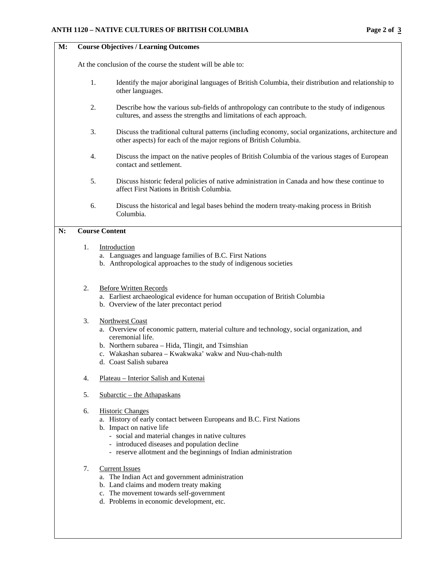## **M: Course Objectives / Learning Outcomes**

At the conclusion of the course the student will be able to:

- 1. Identify the major aboriginal languages of British Columbia, their distribution and relationship to other languages.
- 2. Describe how the various sub-fields of anthropology can contribute to the study of indigenous cultures, and assess the strengths and limitations of each approach.
- 3. Discuss the traditional cultural patterns (including economy, social organizations, architecture and other aspects) for each of the major regions of British Columbia.
- 4. Discuss the impact on the native peoples of British Columbia of the various stages of European contact and settlement.
- 5. Discuss historic federal policies of native administration in Canada and how these continue to affect First Nations in British Columbia.
- 6. Discuss the historical and legal bases behind the modern treaty-making process in British Columbia.

#### **N: Course Content**

## 1. Introduction

- a. Languages and language families of B.C. First Nations
- b. Anthropological approaches to the study of indigenous societies

### 2. Before Written Records

- a. Earliest archaeological evidence for human occupation of British Columbia
- b. Overview of the later precontact period

## 3. Northwest Coast

- a. Overview of economic pattern, material culture and technology, social organization, and ceremonial life.
- b. Northern subarea Hida, Tlingit, and Tsimshian
- c. Wakashan subarea Kwakwaka' wakw and Nuu-chah-nulth
- d. Coast Salish subarea
- 4. Plateau Interior Salish and Kutenai
- 5. Subarctic the Athapaskans
- 6. Historic Changes
	- a. History of early contact between Europeans and B.C. First Nations
	- b. Impact on native life
		- social and material changes in native cultures
		- introduced diseases and population decline
		- reserve allotment and the beginnings of Indian administration
- 7. Current Issues
	- a. The Indian Act and government administration
	- b. Land claims and modern treaty making
	- c. The movement towards self-government
	- d. Problems in economic development, etc.